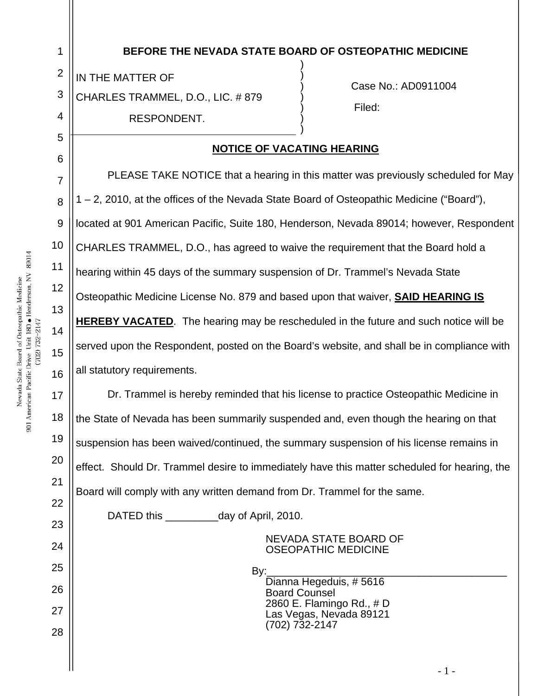| $\overline{2}$<br>3<br>4 | IN THE MATTER OF<br>CHARLES TRAMMEL, D.O., LIC. #879<br>RESPONDENT.                          | Case No.: AD0911004<br>Filed: |  |
|--------------------------|----------------------------------------------------------------------------------------------|-------------------------------|--|
| 5<br>6                   | <b>NOTICE OF VACATING HEARING</b>                                                            |                               |  |
| 7                        | PLEASE TAKE NOTICE that a hearing in this matter was previously scheduled for May            |                               |  |
| 8                        | 1 – 2, 2010, at the offices of the Nevada State Board of Osteopathic Medicine ("Board"),     |                               |  |
| 9                        | located at 901 American Pacific, Suite 180, Henderson, Nevada 89014; however, Respondent     |                               |  |
| 10                       | CHARLES TRAMMEL, D.O., has agreed to waive the requirement that the Board hold a             |                               |  |
| 11                       | hearing within 45 days of the summary suspension of Dr. Trammel's Nevada State               |                               |  |
| 12                       | Osteopathic Medicine License No. 879 and based upon that waiver, <b>SAID HEARING IS</b>      |                               |  |
| 13<br>14                 | <b>HEREBY VACATED.</b> The hearing may be rescheduled in the future and such notice will be  |                               |  |
| 15                       | served upon the Respondent, posted on the Board's website, and shall be in compliance with   |                               |  |
| 16                       | all statutory requirements.                                                                  |                               |  |
| 17                       | Dr. Trammel is hereby reminded that his license to practice Osteopathic Medicine in          |                               |  |
| 18                       | the State of Nevada has been summarily suspended and, even though the hearing on that        |                               |  |
| 19                       | suspension has been waived/continued, the summary suspension of his license remains in       |                               |  |
| 20                       | effect. Should Dr. Trammel desire to immediately have this matter scheduled for hearing, the |                               |  |
| 21                       | Board will comply with any written demand from Dr. Trammel for the same.                     |                               |  |
| 22<br>23                 | DATED this day of April, 2010.                                                               |                               |  |
| 24                       | <b>NEVADA STATE BOARD OF</b>                                                                 |                               |  |
| 25                       | <b>OSEOPATHIC MEDICINE</b><br>By:                                                            |                               |  |
| 26                       | Dianna Hegeduis, #5616<br><b>Board Counsel</b>                                               |                               |  |
| 27                       | 2860 E. Flamingo Rd., # D<br>Las Vegas, Nevada 89121                                         |                               |  |
| 28                       | $(702)$ 732-2147                                                                             |                               |  |
|                          |                                                                                              |                               |  |

**BEFORE THE NEVADA STATE BOARD OF OSTEOPATHIC MEDICINE** 

1

 $-1$  -